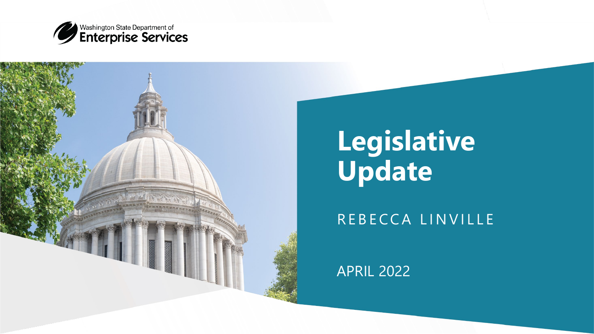



## **Legislative Update**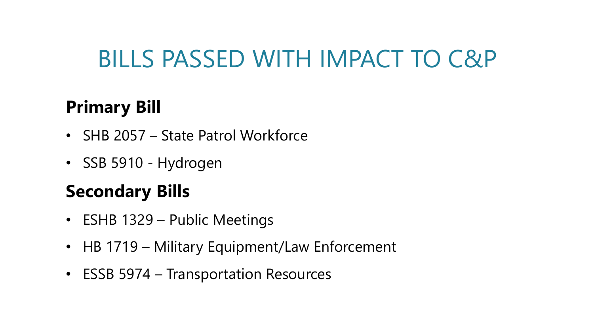### **Primary Bill**

- SHB 2057 State Patrol Workforce
- SSB 5910 Hydrogen

#### **Secondary Bills**

- ESHB 1329 Public Meetings
- HB 1719 Military Equipment/Law Enforcement
- ESSB 5974 Transportation Resources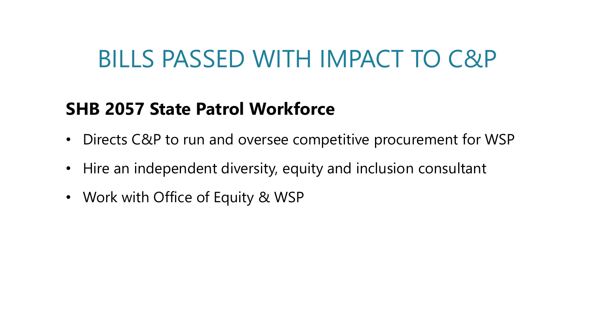#### **SHB 2057 State Patrol Workforce**

- Directs C&P to run and oversee competitive procurement for WSP
- Hire an independent diversity, equity and inclusion consultant
- Work with Office of Equity & WSP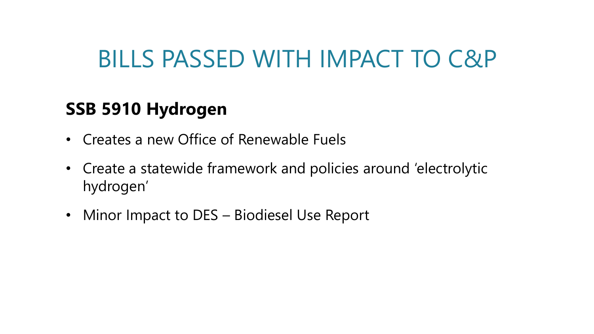#### **SSB 5910 Hydrogen**

- Creates a new Office of Renewable Fuels
- Create a statewide framework and policies around 'electrolytic hydrogen'
- Minor Impact to DES Biodiesel Use Report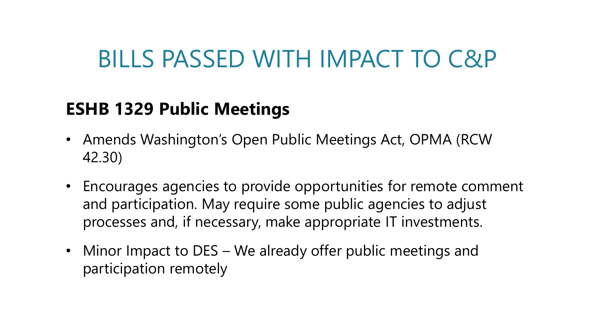#### **ESHB 1329 Public Meetings**

- Amends Washington's Open Public Meetings Act, OPMA (RCW 42.30)
- Encourages agencies to provide opportunities for remote comment and participation. May require some public agencies to adjust processes and, if necessary, make appropriate IT investments.
- Minor Impact to DES We already offer public meetings and participation remotely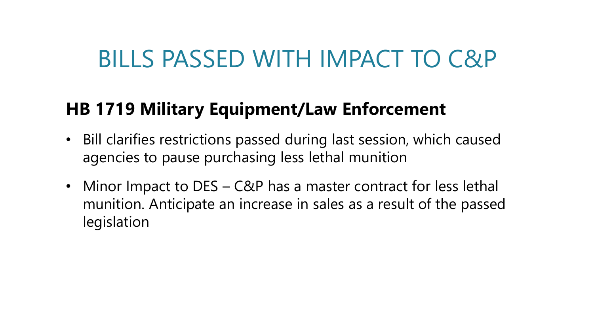#### **HB 1719 Military Equipment/Law Enforcement**

- Bill clarifies restrictions passed during last session, which caused agencies to pause purchasing less lethal munition
- Minor Impact to DES C&P has a master contract for less lethal munition. Anticipate an increase in sales as a result of the passed legislation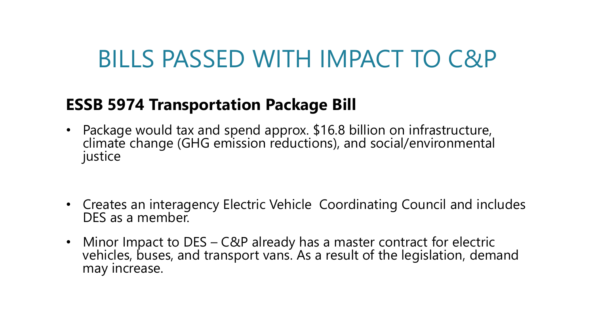#### **ESSB 5974 Transportation Package Bill**

- Package would tax and spend approx. \$16.8 billion on infrastructure, climate change (GHG emission reductions), and social/environmental justice
- Creates an interagency Electric Vehicle Coordinating Council and includes DES as a member.
- Minor Impact to DES C&P already has a master contract for electric vehicles, buses, and transport vans. As a result of the legislation, demand may increase.